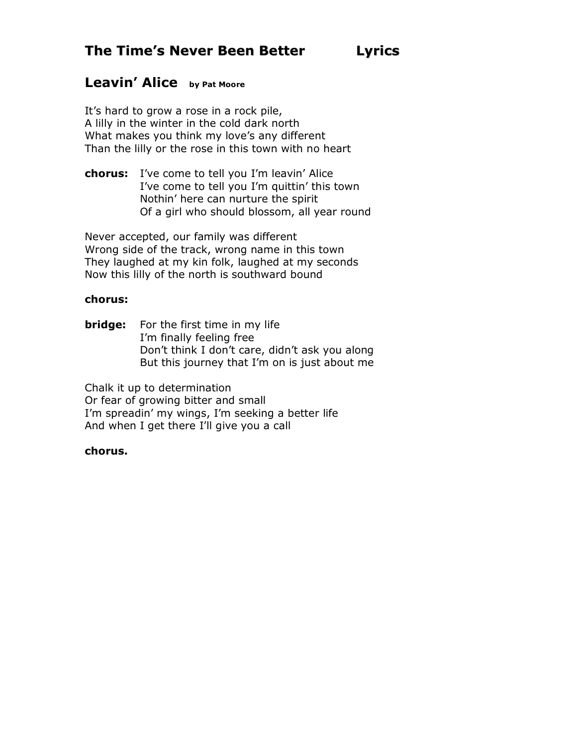## **Leavin' Alice by Pat Moore**

It's hard to grow a rose in a rock pile, A lilly in the winter in the cold dark north What makes you think my love's any different Than the lilly or the rose in this town with no heart

**chorus:** I've come to tell you I'm leavin' Alice I've come to tell you I'm quittin' this town Nothin' here can nurture the spirit Of a girl who should blossom, all year round

Never accepted, our family was different Wrong side of the track, wrong name in this town They laughed at my kin folk, laughed at my seconds Now this lilly of the north is southward bound

### **chorus:**

**bridge:** For the first time in my life I'm finally feeling free Don't think I don't care, didn't ask you along But this journey that I'm on is just about me

Chalk it up to determination Or fear of growing bitter and small I'm spreadin' my wings, I'm seeking a better life And when I get there I'll give you a call

## **chorus.**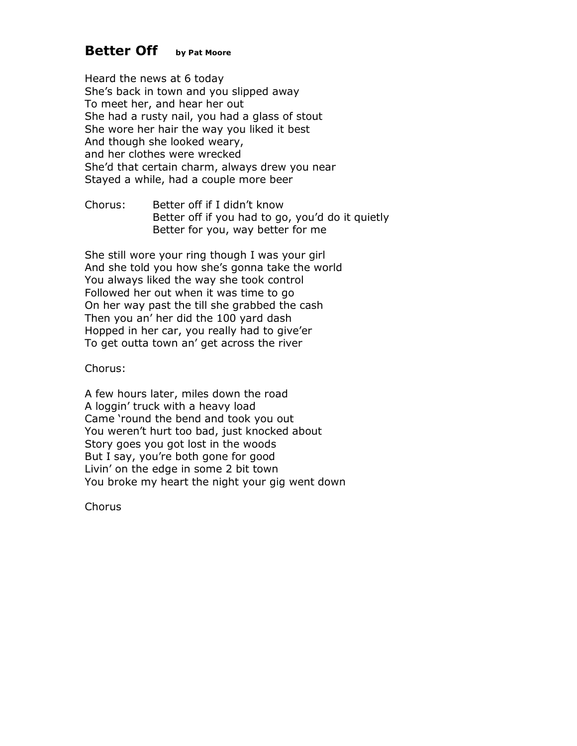## **Better Off by Pat Moore**

Heard the news at 6 today She's back in town and you slipped away To meet her, and hear her out She had a rusty nail, you had a glass of stout She wore her hair the way you liked it best And though she looked weary, and her clothes were wrecked She'd that certain charm, always drew you near Stayed a while, had a couple more beer

Chorus: Better off if I didn't know Better off if you had to go, you'd do it quietly Better for you, way better for me

She still wore your ring though I was your girl And she told you how she's gonna take the world You always liked the way she took control Followed her out when it was time to go On her way past the till she grabbed the cash Then you an' her did the 100 yard dash Hopped in her car, you really had to give'er To get outta town an' get across the river

Chorus:

A few hours later, miles down the road A loggin' truck with a heavy load Came 'round the bend and took you out You weren't hurt too bad, just knocked about Story goes you got lost in the woods But I say, you're both gone for good Livin' on the edge in some 2 bit town You broke my heart the night your gig went down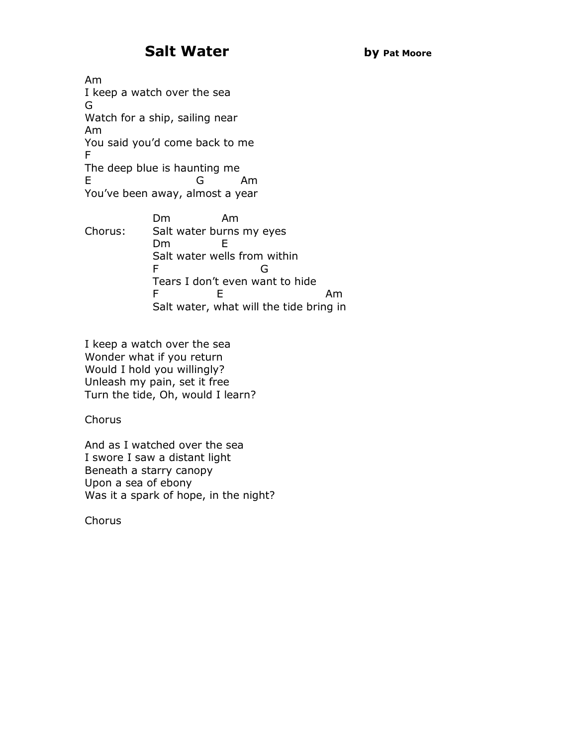# **Salt Water by Pat Moore**

Am I keep a watch over the sea G Watch for a ship, sailing near Am You said you'd come back to me F The deep blue is haunting me E G Am You've been away, almost a year

Dm Am Chorus: Salt water burns my eyes Dm E Salt water wells from within F G Tears I don't even want to hide F E Am Salt water, what will the tide bring in

I keep a watch over the sea Wonder what if you return Would I hold you willingly? Unleash my pain, set it free Turn the tide, Oh, would I learn?

**Chorus** 

And as I watched over the sea I swore I saw a distant light Beneath a starry canopy Upon a sea of ebony Was it a spark of hope, in the night?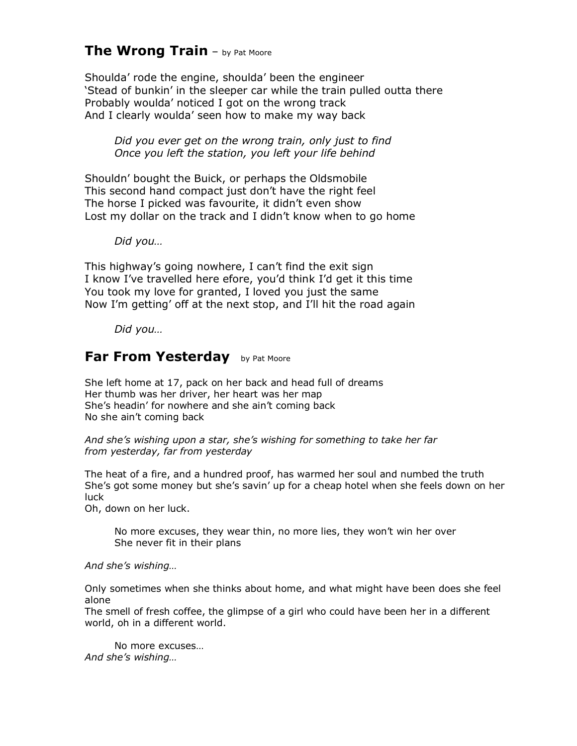## **The Wrong Train** – by Pat Moore

Shoulda' rode the engine, shoulda' been the engineer 'Stead of bunkin' in the sleeper car while the train pulled outta there Probably woulda' noticed I got on the wrong track And I clearly woulda' seen how to make my way back

*Did you ever get on the wrong train, only just to find Once you left the station, you left your life behind* 

Shouldn' bought the Buick, or perhaps the Oldsmobile This second hand compact just don't have the right feel The horse I picked was favourite, it didn't even show Lost my dollar on the track and I didn't know when to go home

*Did you…* 

This highway's going nowhere, I can't find the exit sign I know I've travelled here efore, you'd think I'd get it this time You took my love for granted, I loved you just the same Now I'm getting' off at the next stop, and I'll hit the road again

*Did you…* 

## **Far From Yesterday** by Pat Moore

She left home at 17, pack on her back and head full of dreams Her thumb was her driver, her heart was her map She's headin' for nowhere and she ain't coming back No she ain't coming back

#### *And she's wishing upon a star, she's wishing for something to take her far from yesterday, far from yesterday*

The heat of a fire, and a hundred proof, has warmed her soul and numbed the truth She's got some money but she's savin' up for a cheap hotel when she feels down on her luck

Oh, down on her luck.

No more excuses, they wear thin, no more lies, they won't win her over She never fit in their plans

*And she's wishing…* 

Only sometimes when she thinks about home, and what might have been does she feel alone

The smell of fresh coffee, the glimpse of a girl who could have been her in a different world, oh in a different world.

No more excuses… *And she's wishing…*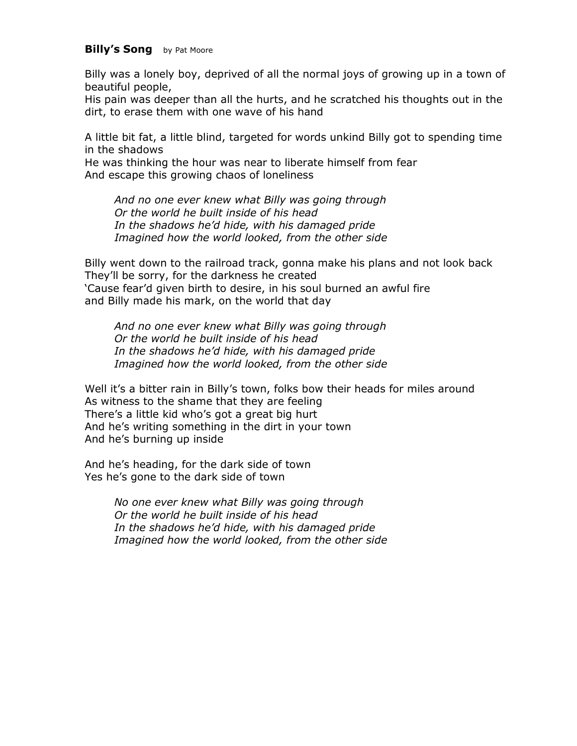#### **Billy's Song** by Pat Moore

Billy was a lonely boy, deprived of all the normal joys of growing up in a town of beautiful people,

His pain was deeper than all the hurts, and he scratched his thoughts out in the dirt, to erase them with one wave of his hand

A little bit fat, a little blind, targeted for words unkind Billy got to spending time in the shadows

He was thinking the hour was near to liberate himself from fear And escape this growing chaos of loneliness

*And no one ever knew what Billy was going through Or the world he built inside of his head In the shadows he'd hide, with his damaged pride Imagined how the world looked, from the other side* 

Billy went down to the railroad track, gonna make his plans and not look back They'll be sorry, for the darkness he created 'Cause fear'd given birth to desire, in his soul burned an awful fire and Billy made his mark, on the world that day

*And no one ever knew what Billy was going through Or the world he built inside of his head In the shadows he'd hide, with his damaged pride Imagined how the world looked, from the other side* 

Well it's a bitter rain in Billy's town, folks bow their heads for miles around As witness to the shame that they are feeling There's a little kid who's got a great big hurt And he's writing something in the dirt in your town And he's burning up inside

And he's heading, for the dark side of town Yes he's gone to the dark side of town

> *No one ever knew what Billy was going through Or the world he built inside of his head In the shadows he'd hide, with his damaged pride Imagined how the world looked, from the other side*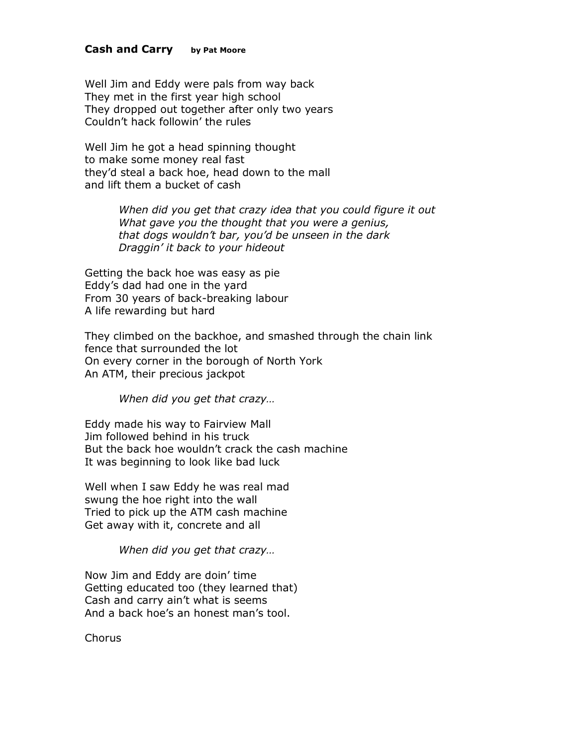#### **Cash and Carry by Pat Moore**

Well Jim and Eddy were pals from way back They met in the first year high school They dropped out together after only two years Couldn't hack followin' the rules

Well Jim he got a head spinning thought to make some money real fast they'd steal a back hoe, head down to the mall and lift them a bucket of cash

> *When did you get that crazy idea that you could figure it out What gave you the thought that you were a genius, that dogs wouldn't bar, you'd be unseen in the dark Draggin' it back to your hideout*

Getting the back hoe was easy as pie Eddy's dad had one in the yard From 30 years of back-breaking labour A life rewarding but hard

They climbed on the backhoe, and smashed through the chain link fence that surrounded the lot On every corner in the borough of North York An ATM, their precious jackpot

*When did you get that crazy…* 

Eddy made his way to Fairview Mall Jim followed behind in his truck But the back hoe wouldn't crack the cash machine It was beginning to look like bad luck

Well when I saw Eddy he was real mad swung the hoe right into the wall Tried to pick up the ATM cash machine Get away with it, concrete and all

*When did you get that crazy…* 

Now Jim and Eddy are doin' time Getting educated too (they learned that) Cash and carry ain't what is seems And a back hoe's an honest man's tool.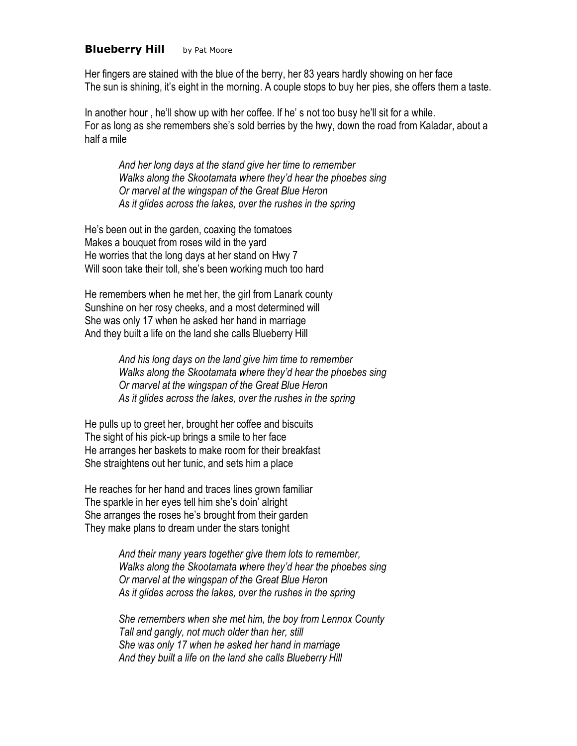#### **Blueberry Hill** by Pat Moore

Her fingers are stained with the blue of the berry, her 83 years hardly showing on her face The sun is shining, it's eight in the morning. A couple stops to buy her pies, she offers them a taste.

In another hour , he'll show up with her coffee. If he' s not too busy he'll sit for a while. For as long as she remembers she's sold berries by the hwy, down the road from Kaladar, about a half a mile

*And her long days at the stand give her time to remember Walks along the Skootamata where they'd hear the phoebes sing Or marvel at the wingspan of the Great Blue Heron As it glides across the lakes, over the rushes in the spring* 

He's been out in the garden, coaxing the tomatoes Makes a bouquet from roses wild in the yard He worries that the long days at her stand on Hwy 7 Will soon take their toll, she's been working much too hard

He remembers when he met her, the girl from Lanark county Sunshine on her rosy cheeks, and a most determined will She was only 17 when he asked her hand in marriage And they built a life on the land she calls Blueberry Hill

> *And his long days on the land give him time to remember Walks along the Skootamata where they'd hear the phoebes sing Or marvel at the wingspan of the Great Blue Heron As it glides across the lakes, over the rushes in the spring*

He pulls up to greet her, brought her coffee and biscuits The sight of his pick-up brings a smile to her face He arranges her baskets to make room for their breakfast She straightens out her tunic, and sets him a place

He reaches for her hand and traces lines grown familiar The sparkle in her eyes tell him she's doin' alright She arranges the roses he's brought from their garden They make plans to dream under the stars tonight

> *And their many years together give them lots to remember, Walks along the Skootamata where they'd hear the phoebes sing Or marvel at the wingspan of the Great Blue Heron As it glides across the lakes, over the rushes in the spring*

> *She remembers when she met him, the boy from Lennox County Tall and gangly, not much older than her, still She was only 17 when he asked her hand in marriage And they built a life on the land she calls Blueberry Hill*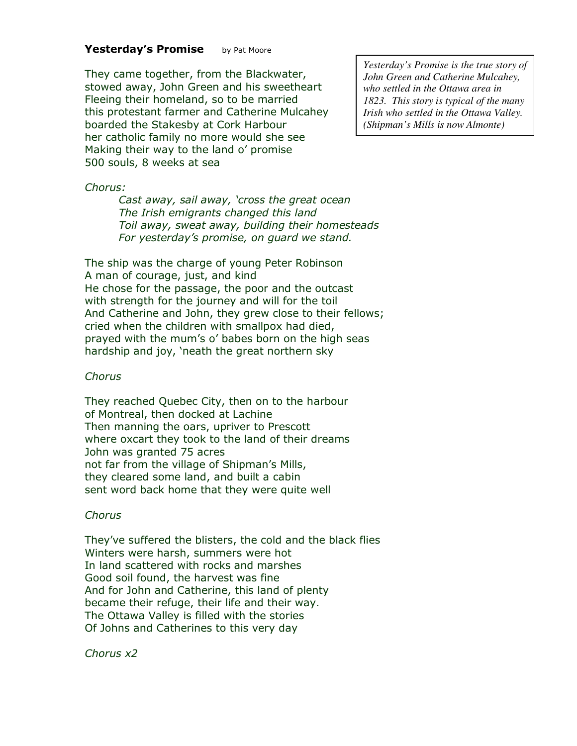#### Yesterday's Promise by Pat Moore

They came together, from the Blackwater, stowed away, John Green and his sweetheart Fleeing their homeland, so to be married this protestant farmer and Catherine Mulcahey boarded the Stakesby at Cork Harbour her catholic family no more would she see Making their way to the land o' promise 500 souls, 8 weeks at sea

*Yesterday's Promise is the true story of John Green and Catherine Mulcahey, who settled in the Ottawa area in 1823. This story is typical of the many Irish who settled in the Ottawa Valley. (Shipman's Mills is now Almonte)* 

#### *Chorus:*

*Cast away, sail away, 'cross the great ocean The Irish emigrants changed this land Toil away, sweat away, building their homesteads For yesterday's promise, on guard we stand.* 

The ship was the charge of young Peter Robinson A man of courage, just, and kind He chose for the passage, the poor and the outcast with strength for the journey and will for the toil And Catherine and John, they grew close to their fellows; cried when the children with smallpox had died, prayed with the mum's o' babes born on the high seas hardship and joy, 'neath the great northern sky

#### *Chorus*

They reached Quebec City, then on to the harbour of Montreal, then docked at Lachine Then manning the oars, upriver to Prescott where oxcart they took to the land of their dreams John was granted 75 acres not far from the village of Shipman's Mills, they cleared some land, and built a cabin sent word back home that they were quite well

#### *Chorus*

They've suffered the blisters, the cold and the black flies Winters were harsh, summers were hot In land scattered with rocks and marshes Good soil found, the harvest was fine And for John and Catherine, this land of plenty became their refuge, their life and their way. The Ottawa Valley is filled with the stories Of Johns and Catherines to this very day

*Chorus x2*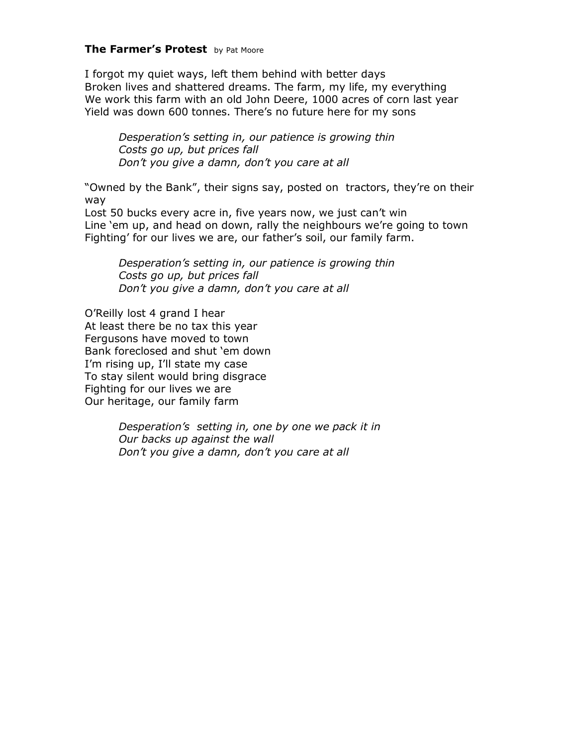### **The Farmer's Protest** by Pat Moore

I forgot my quiet ways, left them behind with better days Broken lives and shattered dreams. The farm, my life, my everything We work this farm with an old John Deere, 1000 acres of corn last year Yield was down 600 tonnes. There's no future here for my sons

*Desperation's setting in, our patience is growing thin Costs go up, but prices fall Don't you give a damn, don't you care at all* 

"Owned by the Bank", their signs say, posted on tractors, they're on their way

Lost 50 bucks every acre in, five years now, we just can't win Line 'em up, and head on down, rally the neighbours we're going to town Fighting' for our lives we are, our father's soil, our family farm.

*Desperation's setting in, our patience is growing thin Costs go up, but prices fall Don't you give a damn, don't you care at all* 

O'Reilly lost 4 grand I hear At least there be no tax this year Fergusons have moved to town Bank foreclosed and shut 'em down I'm rising up, I'll state my case To stay silent would bring disgrace Fighting for our lives we are Our heritage, our family farm

> *Desperation's setting in, one by one we pack it in Our backs up against the wall Don't you give a damn, don't you care at all*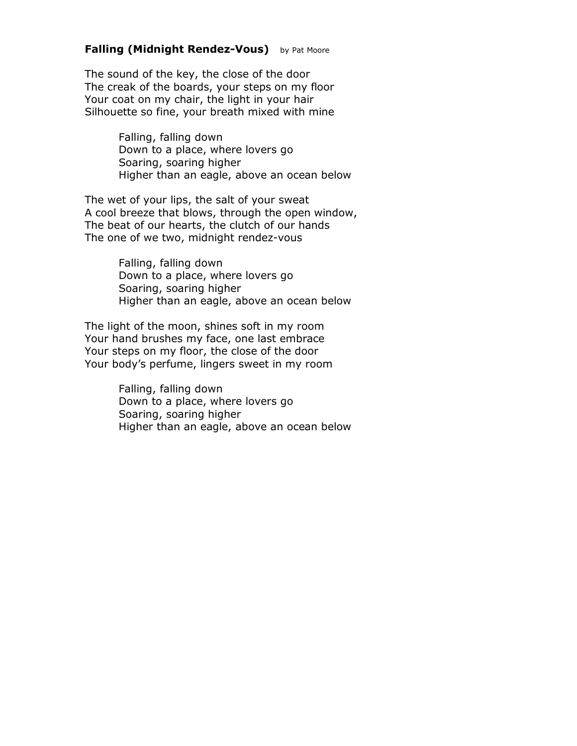### **Falling (Midnight Rendez-Vous)** by Pat Moore

The sound of the key, the close of the door The creak of the boards, your steps on my floor Your coat on my chair, the light in your hair Silhouette so fine, your breath mixed with mine

> Falling, falling down Down to a place, where lovers go Soaring, soaring higher Higher than an eagle, above an ocean below

The wet of your lips, the salt of your sweat A cool breeze that blows, through the open window, The beat of our hearts, the clutch of our hands The one of we two, midnight rendez-vous

> Falling, falling down Down to a place, where lovers go Soaring, soaring higher Higher than an eagle, above an ocean below

The light of the moon, shines soft in my room Your hand brushes my face, one last embrace Your steps on my floor, the close of the door Your body's perfume, lingers sweet in my room

> Falling, falling down Down to a place, where lovers go Soaring, soaring higher Higher than an eagle, above an ocean below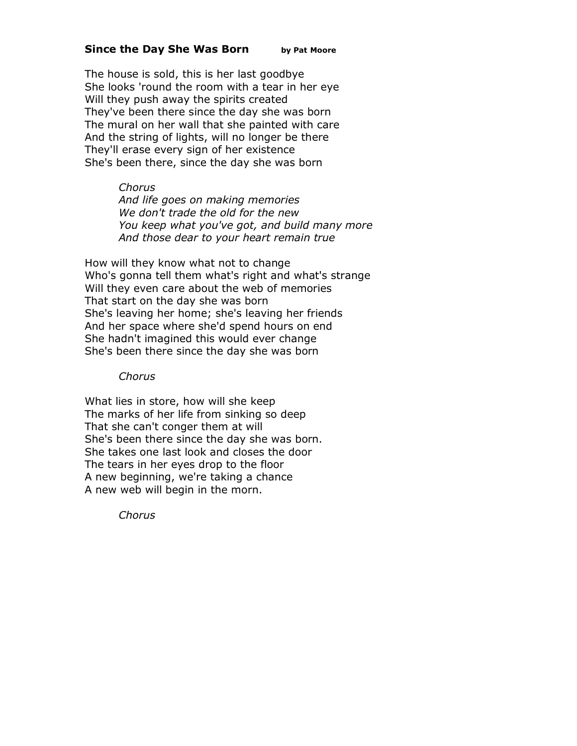#### **Since the Day She Was Born by Pat Moore**

The house is sold, this is her last goodbye She looks 'round the room with a tear in her eye Will they push away the spirits created They've been there since the day she was born The mural on her wall that she painted with care And the string of lights, will no longer be there They'll erase every sign of her existence She's been there, since the day she was born

#### *Chorus*

*And life goes on making memories We don't trade the old for the new You keep what you've got, and build many more And those dear to your heart remain true*

How will they know what not to change Who's gonna tell them what's right and what's strange Will they even care about the web of memories That start on the day she was born She's leaving her home; she's leaving her friends And her space where she'd spend hours on end She hadn't imagined this would ever change She's been there since the day she was born

#### *Chorus*

What lies in store, how will she keep The marks of her life from sinking so deep That she can't conger them at will She's been there since the day she was born. She takes one last look and closes the door The tears in her eyes drop to the floor A new beginning, we're taking a chance A new web will begin in the morn.